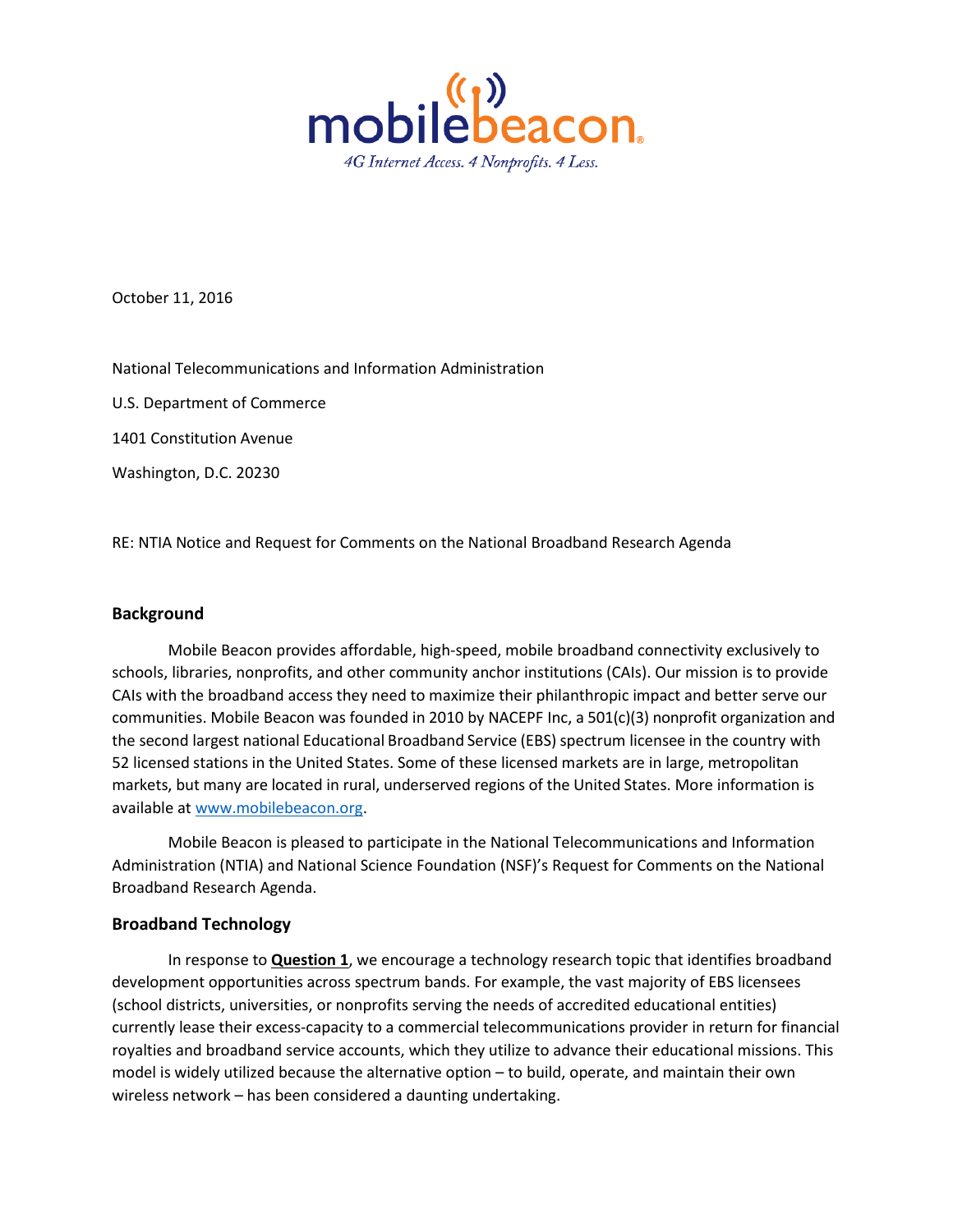

October 11, 2016

National Telecommunications and Information Administration

U.S. Department of Commerce

1401 Constitution Avenue

Washington, D.C. 20230

RE: NTIA Notice and Request for Comments on the National Broadband Research Agenda

## **Background**

Mobile Beacon provides affordable, high-speed, mobile broadband connectivity exclusively to schools, libraries, nonprofits, and other community anchor institutions (CAIs). Our mission is to provide CAIs with the broadband access they need to maximize their philanthropic impact and better serve our communities. Mobile Beacon was founded in 2010 by NACEPF Inc, a 501(c)(3) nonprofit organization and the second largest national Educational Broadband Service (EBS) spectrum licensee in the country with 52 licensed stations in the United States. Some of these licensed markets are in large, metropolitan markets, but many are located in rural, underserved regions of the United States. More information is available a[t www.mobilebeacon.org.](http://www.mobilebeacon.org/)

Mobile Beacon is pleased to participate in the National Telecommunications and Information Administration (NTIA) and National Science Foundation (NSF)'s Request for Comments on the National Broadband Research Agenda.

## **Broadband Technology**

In response to **Question 1**, we encourage a technology research topic that identifies broadband development opportunities across spectrum bands. For example, the vast majority of EBS licensees (school districts, universities, or nonprofits serving the needs of accredited educational entities) currently lease their excess-capacity to a commercial telecommunications provider in return for financial royalties and broadband service accounts, which they utilize to advance their educational missions. This model is widely utilized because the alternative option – to build, operate, and maintain their own wireless network – has been considered a daunting undertaking.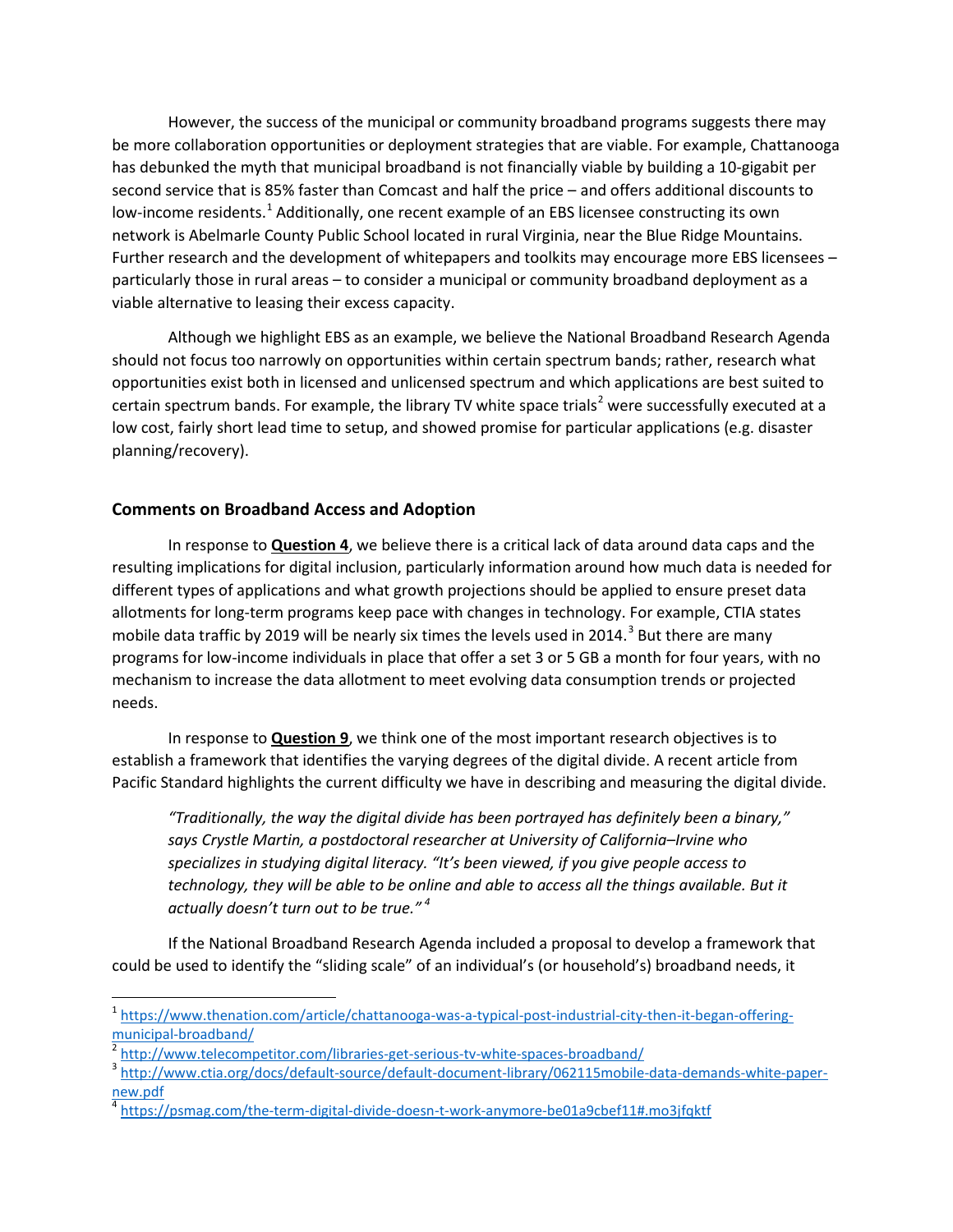However, the success of the municipal or community broadband programs suggests there may be more collaboration opportunities or deployment strategies that are viable. For example, Chattanooga has debunked the myth that municipal broadband is not financially viable by building a 10-gigabit per second service that is 85% faster than Comcast and half the price – and offers additional discounts to low-income residents.<sup>[1](#page-1-0)</sup> Additionally, one recent example of an EBS licensee constructing its own network is Abelmarle County Public School located in rural Virginia, near the Blue Ridge Mountains. Further research and the development of whitepapers and toolkits may encourage more EBS licensees – particularly those in rural areas – to consider a municipal or community broadband deployment as a viable alternative to leasing their excess capacity.

Although we highlight EBS as an example, we believe the National Broadband Research Agenda should not focus too narrowly on opportunities within certain spectrum bands; rather, research what opportunities exist both in licensed and unlicensed spectrum and which applications are best suited to certain spectrum bands. For example, the library TV white space trials<sup>[2](#page-1-1)</sup> were successfully executed at a low cost, fairly short lead time to setup, and showed promise for particular applications (e.g. disaster planning/recovery).

## **Comments on Broadband Access and Adoption**

In response to **Question 4**, we believe there is a critical lack of data around data caps and the resulting implications for digital inclusion, particularly information around how much data is needed for different types of applications and what growth projections should be applied to ensure preset data allotments for long-term programs keep pace with changes in technology. For example, CTIA states mobile data traffic by 2019 will be nearly six times the levels used in 2014.<sup>[3](#page-1-2)</sup> But there are many programs for low-income individuals in place that offer a set 3 or 5 GB a month for four years, with no mechanism to increase the data allotment to meet evolving data consumption trends or projected needs.

In response to **Question 9**, we think one of the most important research objectives is to establish a framework that identifies the varying degrees of the digital divide. A recent article from Pacific Standard highlights the current difficulty we have in describing and measuring the digital divide.

*"Traditionally, the way the digital divide has been portrayed has definitely been a binary," says Crystle Martin, a postdoctoral researcher at University of California–Irvine who specializes in studying digital literacy. "It's been viewed, if you give people access to technology, they will be able to be online and able to access all the things available. But it actually doesn't turn out to be true." [4](#page-1-3)*

If the National Broadband Research Agenda included a proposal to develop a framework that could be used to identify the "sliding scale" of an individual's (or household's) broadband needs, it

<span id="page-1-0"></span> <sup>1</sup> [https://www.thenation.com/article/chattanooga-was-a-typical-post-industrial-city-then-it-began-offering](https://www.thenation.com/article/chattanooga-was-a-typical-post-industrial-city-then-it-began-offering-municipal-broadband/)[municipal-broadband/](https://www.thenation.com/article/chattanooga-was-a-typical-post-industrial-city-then-it-began-offering-municipal-broadband/)<br><sup>2</sup> <http://www.telecompetitor.com/libraries-get-serious-tv-white-spaces-broadband/><br><sup>3</sup> [http://www.ctia.org/docs/default-source/default-document-library/062115mobile-data-demands-white-paper-](http://www.ctia.org/docs/default-source/default-document-library/062115mobile-data-demands-white-paper-new.pdf)

<span id="page-1-1"></span>

<span id="page-1-2"></span>[new.pdf](http://www.ctia.org/docs/default-source/default-document-library/062115mobile-data-demands-white-paper-new.pdf)

<span id="page-1-3"></span><sup>4</sup> <https://psmag.com/the-term-digital-divide-doesn-t-work-anymore-be01a9cbef11#.mo3jfqktf>